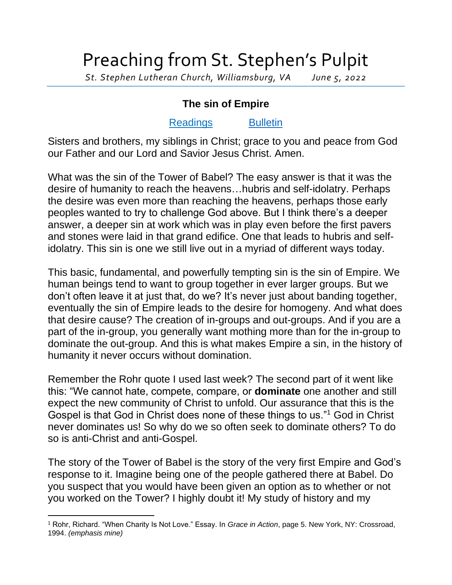## Preaching from St. Stephen's Pulpit

*St. Stephen Lutheran Church, Williamsburg, VA June 5, 2022*

## **The sin of Empire**

## [Readings](https://lectionary.library.vanderbilt.edu/texts.php?id=141) [Bulletin](http://www.saintstephenlutheran.net/sunday-bulletins/)

Sisters and brothers, my siblings in Christ; grace to you and peace from God our Father and our Lord and Savior Jesus Christ. Amen.

What was the sin of the Tower of Babel? The easy answer is that it was the desire of humanity to reach the heavens…hubris and self-idolatry. Perhaps the desire was even more than reaching the heavens, perhaps those early peoples wanted to try to challenge God above. But I think there's a deeper answer, a deeper sin at work which was in play even before the first pavers and stones were laid in that grand edifice. One that leads to hubris and selfidolatry. This sin is one we still live out in a myriad of different ways today.

This basic, fundamental, and powerfully tempting sin is the sin of Empire. We human beings tend to want to group together in ever larger groups. But we don't often leave it at just that, do we? It's never just about banding together, eventually the sin of Empire leads to the desire for homogeny. And what does that desire cause? The creation of in-groups and out-groups. And if you are a part of the in-group, you generally want mothing more than for the in-group to dominate the out-group. And this is what makes Empire a sin, in the history of humanity it never occurs without domination.

Remember the Rohr quote I used last week? The second part of it went like this: "We cannot hate, compete, compare, or **dominate** one another and still expect the new community of Christ to unfold. Our assurance that this is the Gospel is that God in Christ does none of these things to us."<sup>1</sup> God in Christ never dominates us! So why do we so often seek to dominate others? To do so is anti-Christ and anti-Gospel.

The story of the Tower of Babel is the story of the very first Empire and God's response to it. Imagine being one of the people gathered there at Babel. Do you suspect that you would have been given an option as to whether or not you worked on the Tower? I highly doubt it! My study of history and my

<sup>1</sup> Rohr, Richard. "When Charity Is Not Love." Essay. In *Grace in Action*, page 5. New York, NY: Crossroad, 1994. *(emphasis mine)*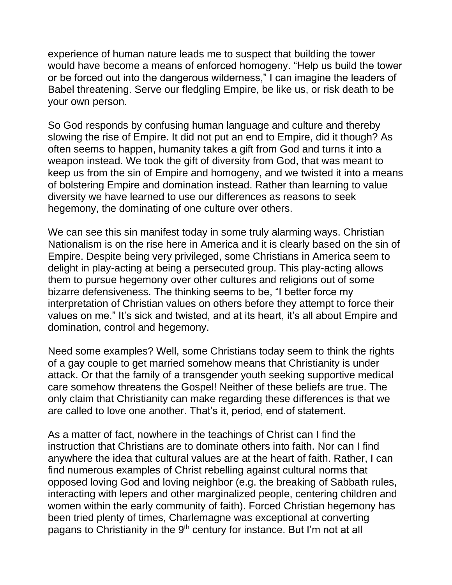experience of human nature leads me to suspect that building the tower would have become a means of enforced homogeny. "Help us build the tower or be forced out into the dangerous wilderness," I can imagine the leaders of Babel threatening. Serve our fledgling Empire, be like us, or risk death to be your own person.

So God responds by confusing human language and culture and thereby slowing the rise of Empire. It did not put an end to Empire, did it though? As often seems to happen, humanity takes a gift from God and turns it into a weapon instead. We took the gift of diversity from God, that was meant to keep us from the sin of Empire and homogeny, and we twisted it into a means of bolstering Empire and domination instead. Rather than learning to value diversity we have learned to use our differences as reasons to seek hegemony, the dominating of one culture over others.

We can see this sin manifest today in some truly alarming ways. Christian Nationalism is on the rise here in America and it is clearly based on the sin of Empire. Despite being very privileged, some Christians in America seem to delight in play-acting at being a persecuted group. This play-acting allows them to pursue hegemony over other cultures and religions out of some bizarre defensiveness. The thinking seems to be, "I better force my interpretation of Christian values on others before they attempt to force their values on me." It's sick and twisted, and at its heart, it's all about Empire and domination, control and hegemony.

Need some examples? Well, some Christians today seem to think the rights of a gay couple to get married somehow means that Christianity is under attack. Or that the family of a transgender youth seeking supportive medical care somehow threatens the Gospel! Neither of these beliefs are true. The only claim that Christianity can make regarding these differences is that we are called to love one another. That's it, period, end of statement.

As a matter of fact, nowhere in the teachings of Christ can I find the instruction that Christians are to dominate others into faith. Nor can I find anywhere the idea that cultural values are at the heart of faith. Rather, I can find numerous examples of Christ rebelling against cultural norms that opposed loving God and loving neighbor (e.g. the breaking of Sabbath rules, interacting with lepers and other marginalized people, centering children and women within the early community of faith). Forced Christian hegemony has been tried plenty of times, Charlemagne was exceptional at converting pagans to Christianity in the 9<sup>th</sup> century for instance. But I'm not at all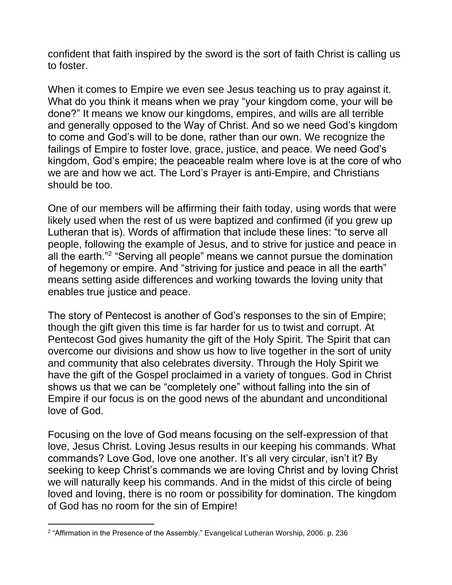confident that faith inspired by the sword is the sort of faith Christ is calling us to foster.

When it comes to Empire we even see Jesus teaching us to pray against it. What do you think it means when we pray "your kingdom come, your will be done?" It means we know our kingdoms, empires, and wills are all terrible and generally opposed to the Way of Christ. And so we need God's kingdom to come and God's will to be done, rather than our own. We recognize the failings of Empire to foster love, grace, justice, and peace. We need God's kingdom, God's empire; the peaceable realm where love is at the core of who we are and how we act. The Lord's Prayer is anti-Empire, and Christians should be too.

One of our members will be affirming their faith today, using words that were likely used when the rest of us were baptized and confirmed (if you grew up Lutheran that is). Words of affirmation that include these lines: "to serve all people, following the example of Jesus, and to strive for justice and peace in all the earth."<sup>2</sup> "Serving all people" means we cannot pursue the domination of hegemony or empire. And "striving for justice and peace in all the earth" means setting aside differences and working towards the loving unity that enables true justice and peace.

The story of Pentecost is another of God's responses to the sin of Empire; though the gift given this time is far harder for us to twist and corrupt. At Pentecost God gives humanity the gift of the Holy Spirit. The Spirit that can overcome our divisions and show us how to live together in the sort of unity and community that also celebrates diversity. Through the Holy Spirit we have the gift of the Gospel proclaimed in a variety of tongues. God in Christ shows us that we can be "completely one" without falling into the sin of Empire if our focus is on the good news of the abundant and unconditional love of God.

Focusing on the love of God means focusing on the self-expression of that love, Jesus Christ. Loving Jesus results in our keeping his commands. What commands? Love God, love one another. It's all very circular, isn't it? By seeking to keep Christ's commands we are loving Christ and by loving Christ we will naturally keep his commands. And in the midst of this circle of being loved and loving, there is no room or possibility for domination. The kingdom of God has no room for the sin of Empire!

<sup>2</sup> "Affirmation in the Presence of the Assembly." Evangelical Lutheran Worship, 2006. p. 236